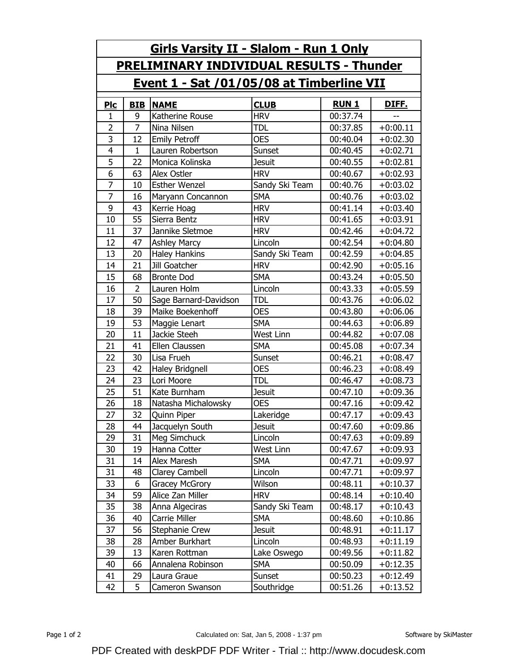| <u>Girls Varsity II - Slalom - Run 1 Only</u>    |                |                        |                  |              |              |  |  |  |  |
|--------------------------------------------------|----------------|------------------------|------------------|--------------|--------------|--|--|--|--|
| <b>PRELIMINARY INDIVIDUAL RESULTS - Thunder</b>  |                |                        |                  |              |              |  |  |  |  |
| <u>Event 1 - Sat /01/05/08 at Timberline VII</u> |                |                        |                  |              |              |  |  |  |  |
| <u>Pic</u>                                       | <b>BIB</b>     | <b>NAME</b>            | <b>CLUB</b>      | <b>RUN 1</b> | <u>DIFF.</u> |  |  |  |  |
| 1                                                | 9              | Katherine Rouse        | <b>HRV</b>       | 00:37.74     |              |  |  |  |  |
| $\overline{2}$                                   | $\overline{7}$ | Nina Nilsen            | <b>TDL</b>       | 00:37.85     | $+0:00.11$   |  |  |  |  |
| 3                                                | 12             | <b>Emily Petroff</b>   | <b>OES</b>       | 00:40.04     | $+0:02.30$   |  |  |  |  |
| 4                                                | $\mathbf{1}$   | Lauren Robertson       | Sunset           | 00:40.45     | $+0:02.71$   |  |  |  |  |
| $\overline{5}$                                   | 22             | Monica Kolinska        | <b>Jesuit</b>    | 00:40.55     | $+0:02.81$   |  |  |  |  |
| 6                                                | 63             | Alex Ostler            | <b>HRV</b>       | 00:40.67     | $+0:02.93$   |  |  |  |  |
| 7                                                | 10             | <b>Esther Wenzel</b>   | Sandy Ski Team   | 00:40.76     | $+0:03.02$   |  |  |  |  |
| $\overline{7}$                                   | 16             | Maryann Concannon      | <b>SMA</b>       | 00:40.76     | $+0:03.02$   |  |  |  |  |
| 9                                                | 43             | Kerrie Hoag            | <b>HRV</b>       | 00:41.14     | $+0:03.40$   |  |  |  |  |
| 10                                               | 55             | Sierra Bentz           | <b>HRV</b>       | 00:41.65     | $+0:03.91$   |  |  |  |  |
| 11                                               | 37             | Jannike Sletmoe        | <b>HRV</b>       | 00:42.46     | $+0:04.72$   |  |  |  |  |
| 12                                               | 47             | <b>Ashley Marcy</b>    | Lincoln          | 00:42.54     | $+0:04.80$   |  |  |  |  |
| 13                                               | 20             | <b>Haley Hankins</b>   | Sandy Ski Team   | 00:42.59     | $+0:04.85$   |  |  |  |  |
| 14                                               | 21             | Jill Goatcher          | <b>HRV</b>       | 00:42.90     | $+0:05.16$   |  |  |  |  |
| 15                                               | 68             | <b>Bronte Dod</b>      | <b>SMA</b>       | 00:43.24     | $+0:05.50$   |  |  |  |  |
| 16                                               | $\overline{2}$ | Lauren Holm            | Lincoln          | 00:43.33     | $+0:05.59$   |  |  |  |  |
| 17                                               | 50             | Sage Barnard-Davidson  | tdl              | 00:43.76     | $+0:06.02$   |  |  |  |  |
| 18                                               | 39             | Maike Boekenhoff       | <b>OES</b>       | 00:43.80     | $+0:06.06$   |  |  |  |  |
| 19                                               | 53             | Maggie Lenart          | <b>SMA</b>       | 00:44.63     | $+0:06.89$   |  |  |  |  |
| 20                                               | 11             | Jackie Steeh           | <b>West Linn</b> | 00:44.82     | $+0:07.08$   |  |  |  |  |
| 21                                               | 41             | Ellen Claussen         | <b>SMA</b>       | 00:45.08     | $+0:07.34$   |  |  |  |  |
| 22                                               | 30             | Lisa Frueh             | Sunset           | 00:46.21     | $+0:08.47$   |  |  |  |  |
| 23                                               | 42             | <b>Haley Bridgnell</b> | <b>OES</b>       | 00:46.23     | $+0:08.49$   |  |  |  |  |
| 24                                               | 23             | Lori Moore             | <b>TDL</b>       | 00:46.47     | $+0:08.73$   |  |  |  |  |
| 25                                               | 51             | Kate Burnham           | <b>Jesuit</b>    | 00:47.10     | $+0:09.36$   |  |  |  |  |
| 26                                               | 18             | Natasha Michalowsky    | <b>OES</b>       | 00:47.16     | $+0:09.42$   |  |  |  |  |
| 27                                               | 32             | <b>Ouinn Piper</b>     | Lakeridge        | 00:47.17     | $+0:09.43$   |  |  |  |  |
| 28                                               | 44             | Jacquelyn South        | <b>Jesuit</b>    | 00:47.60     | $+0:09.86$   |  |  |  |  |
| 29                                               | 31             | Meg Simchuck           | Lincoln          | 00:47.63     | $+0:09.89$   |  |  |  |  |
| 30                                               | 19             | Hanna Cotter           | West Linn        | 00:47.67     | $+0:09.93$   |  |  |  |  |
| 31                                               | 14             | Alex Maresh            | <b>SMA</b>       | 00:47.71     | $+0:09.97$   |  |  |  |  |
| 31                                               | 48             | Clarey Cambell         | Lincoln          | 00:47.71     | $+0:09.97$   |  |  |  |  |
| 33                                               | 6              | Gracey McGrory         | Wilson           | 00:48.11     | $+0:10.37$   |  |  |  |  |
| 34                                               | 59             | Alice Zan Miller       | <b>HRV</b>       | 00:48.14     | $+0:10.40$   |  |  |  |  |
| 35                                               | 38             | Anna Algeciras         | Sandy Ski Team   | 00:48.17     | $+0:10.43$   |  |  |  |  |
| 36                                               | 40             | Carrie Miller          | <b>SMA</b>       | 00:48.60     | $+0:10.86$   |  |  |  |  |
| 37                                               | 56             | Stephanie Crew         | <b>Jesuit</b>    | 00:48.91     | $+0:11.17$   |  |  |  |  |
| 38                                               | 28             | Amber Burkhart         | Lincoln          | 00:48.93     | $+0:11.19$   |  |  |  |  |
| 39                                               | 13             | Karen Rottman          | Lake Oswego      | 00:49.56     | $+0:11.82$   |  |  |  |  |
| 40                                               | 66             | Annalena Robinson      | <b>SMA</b>       | 00:50.09     | $+0:12.35$   |  |  |  |  |
| 41                                               | 29             | Laura Graue            | Sunset           | 00:50.23     | $+0:12.49$   |  |  |  |  |
| 42                                               | 5              | Cameron Swanson        | Southridge       | 00:51.26     | $+0:13.52$   |  |  |  |  |